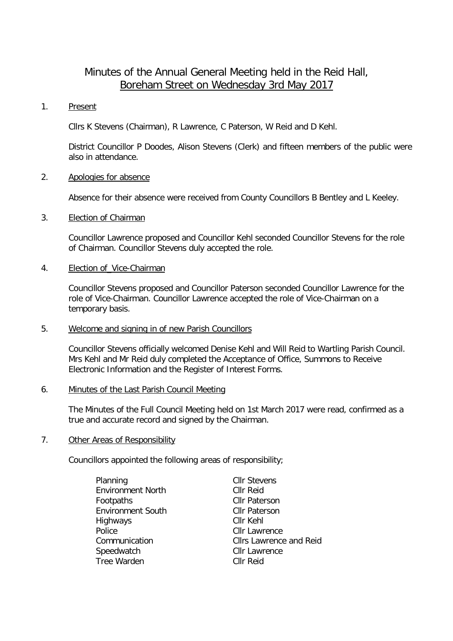# Minutes of the Annual General Meeting held in the Reid Hall, Boreham Street on Wednesday 3rd May 2017

### 1. Present

Cllrs K Stevens (Chairman), R Lawrence, C Paterson, W Reid and D Kehl.

District Councillor P Doodes, Alison Stevens (Clerk) and fifteen members of the public were also in attendance.

## 2. Apologies for absence

Absence for their absence were received from County Councillors B Bentley and L Keeley.

## 3. Election of Chairman

Councillor Lawrence proposed and Councillor Kehl seconded Councillor Stevens for the role of Chairman. Councillor Stevens duly accepted the role.

## 4. Election of\_Vice-Chairman

Councillor Stevens proposed and Councillor Paterson seconded Councillor Lawrence for the role of Vice-Chairman. Councillor Lawrence accepted the role of Vice-Chairman on a temporary basis.

## 5. Welcome and signing in of new Parish Councillors

Councillor Stevens officially welcomed Denise Kehl and Will Reid to Wartling Parish Council. Mrs Kehl and Mr Reid duly completed the Acceptance of Office, Summons to Receive Electronic Information and the Register of Interest Forms.

## 6. Minutes of the Last Parish Council Meeting

The Minutes of the Full Council Meeting held on 1st March 2017 were read, confirmed as a true and accurate record and signed by the Chairman.

## 7. Other Areas of Responsibility

Councillors appointed the following areas of responsibility;

| Planning                 | <b>Cllr Stevens</b>            |  |
|--------------------------|--------------------------------|--|
| <b>Environment North</b> | Cllr Reid                      |  |
| Footpaths                | <b>Cllr Paterson</b>           |  |
| <b>Environment South</b> | <b>Cllr Paterson</b>           |  |
| Highways                 | Cllr Kehl                      |  |
| Police                   | <b>Cllr Lawrence</b>           |  |
| Communication            | <b>Cllrs Lawrence and Reid</b> |  |
| Speedwatch               | <b>Cllr Lawrence</b>           |  |
| Tree Warden              | <b>CIIr Reid</b>               |  |
|                          |                                |  |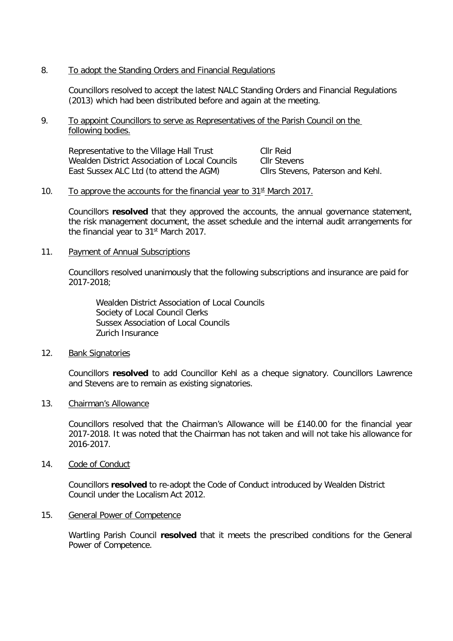## 8. To adopt the Standing Orders and Financial Regulations

Councillors resolved to accept the latest NALC Standing Orders and Financial Regulations (2013) which had been distributed before and again at the meeting.

9. To appoint Councillors to serve as Representatives of the Parish Council on the following bodies.

Representative to the Village Hall Trust Cllr Reid<br>Wealden District Association of Local Councils Cllr Stevens Wealden District Association of Local Councils Cllr Stevens<br>
East Sussex ALC Ltd (to attend the AGM) Cllrs Stevens, Paterson and Kehl. East Sussex ALC Ltd (to attend the AGM)

#### 10. To approve the accounts for the financial year to  $31<sup>st</sup>$  March 2017.

Councillors **resolved** that they approved the accounts, the annual governance statement, the risk management document, the asset schedule and the internal audit arrangements for the financial year to 31st March 2017.

11. Payment of Annual Subscriptions

Councillors resolved unanimously that the following subscriptions and insurance are paid for 2017-2018;

Wealden District Association of Local Councils Society of Local Council Clerks Sussex Association of Local Councils Zurich Insurance

12. Bank Signatories

Councillors **resolved** to add Councillor Kehl as a cheque signatory. Councillors Lawrence and Stevens are to remain as existing signatories.

13. Chairman's Allowance

Councillors resolved that the Chairman's Allowance will be £140.00 for the financial year 2017-2018. It was noted that the Chairman has not taken and will not take his allowance for 2016-2017.

14. Code of Conduct

Councillors **resolved** to re-adopt the Code of Conduct introduced by Wealden District Council under the Localism Act 2012.

15. General Power of Competence

Wartling Parish Council **resolved** that it meets the prescribed conditions for the General Power of Competence.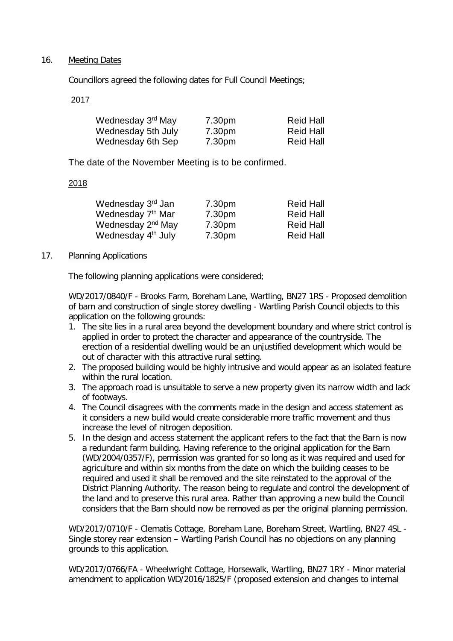## 16. Meeting Dates

Councillors agreed the following dates for Full Council Meetings;

2017

| Wednesday 3 <sup>rd</sup> May | 7.30pm | <b>Reid Hall</b> |
|-------------------------------|--------|------------------|
| Wednesday 5th July            | 7.30pm | <b>Reid Hall</b> |
| Wednesday 6th Sep             | 7.30pm | <b>Reid Hall</b> |

The date of the November Meeting is to be confirmed.

# 2018

| Wednesday 3rd Jan              | 7.30pm | <b>Reid Hall</b> |
|--------------------------------|--------|------------------|
| Wednesday 7 <sup>th</sup> Mar  | 7.30pm | <b>Reid Hall</b> |
| Wednesday 2 <sup>nd</sup> May  | 7.30pm | <b>Reid Hall</b> |
| Wednesday 4 <sup>th</sup> July | 7.30pm | <b>Reid Hall</b> |

# 17. Planning Applications

The following planning applications were considered;

WD/2017/0840/F - Brooks Farm, Boreham Lane, Wartling, BN27 1RS - Proposed demolition of barn and construction of single storey dwelling - Wartling Parish Council objects to this application on the following grounds:

- 1. The site lies in a rural area beyond the development boundary and where strict control is applied in order to protect the character and appearance of the countryside. The erection of a residential dwelling would be an unjustified development which would be out of character with this attractive rural setting.
- 2. The proposed building would be highly intrusive and would appear as an isolated feature within the rural location.
- 3. The approach road is unsuitable to serve a new property given its narrow width and lack of footways.
- 4. The Council disagrees with the comments made in the design and access statement as it considers a new build would create considerable more traffic movement and thus increase the level of nitrogen deposition.
- 5. In the design and access statement the applicant refers to the fact that the Barn is now a redundant farm building. Having reference to the original application for the Barn (WD/2004/0357/F), permission was granted for so long as it was required and used for agriculture and within six months from the date on which the building ceases to be required and used it shall be removed and the site reinstated to the approval of the District Planning Authority. The reason being to regulate and control the development of the land and to preserve this rural area. Rather than approving a new build the Council considers that the Barn should now be removed as per the original planning permission.

WD/2017/0710/F - Clematis Cottage, Boreham Lane, Boreham Street, Wartling, BN27 4SL - Single storey rear extension – Wartling Parish Council has no objections on any planning grounds to this application.

WD/2017/0766/FA - Wheelwright Cottage, Horsewalk, Wartling, BN27 1RY - Minor material amendment to application WD/2016/1825/F (proposed extension and changes to internal